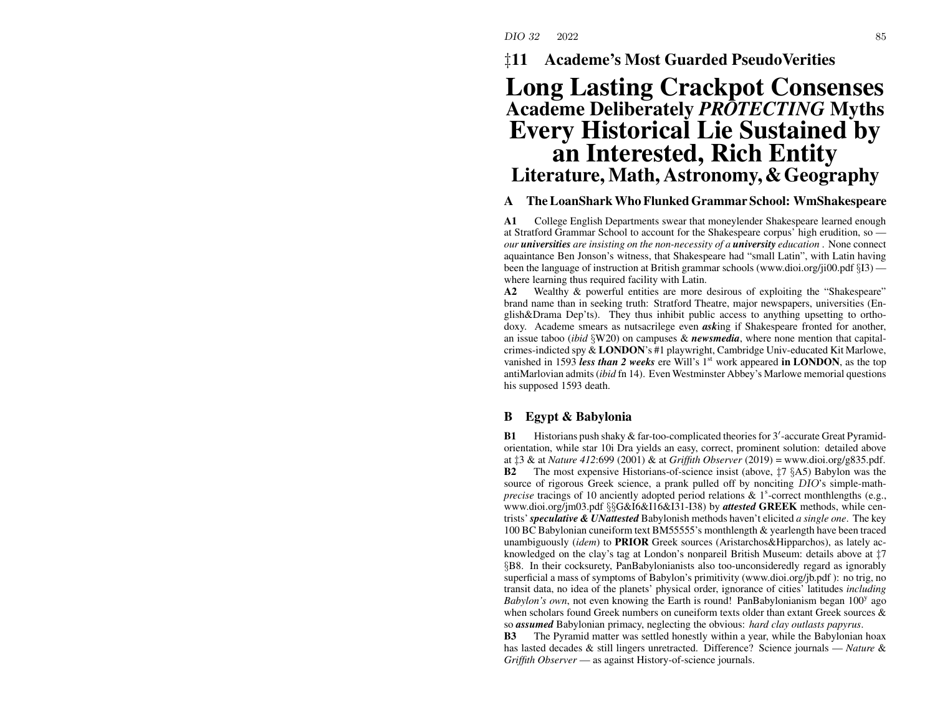‡**11 Academe's Most Guarded PseudoVerities**

# **Long Lasting Crackpot Consenses Academe Deliberately** *PROTECTING* **Myths Every Historical Lie Sustained by an Interested, Rich Entity Literature, Math, Astronomy,&Geography**

### **ATheLoanSharkWho FlunkedGrammar School: WmShakespeare**

**A1** College English Departments swear that moneylender Shakespeare learned enough at Stratford Grammar School to account for the Shakespeare corpus' high erudition, so *our universities are insisting on the non-necessity of <sup>a</sup> university education* . None connect aquaintance Ben Jonson's witness, that Shakespeare had "small Latin", with Latin having been the language of instruction at British grammar schools (www.dioi.org/ji00.pdf §I3) where learning thus required facility with Latin.

**A2** Wealthy & powerful entities are more desirous of exploiting the "Shakespeare" brand name than in seeking truth: Stratford Theatre, major newspapers, universities (English&Drama Dep'ts). They thus inhibit public access to anything upsetting to orthodoxy. Academe smears as nutsacrilege even *ask*ing if Shakespeare fronted for another, an issue taboo (*ibid* §W20) on campuses & *newsmedia*, where none mention that capitalcrimes-indicted spy & **LONDON**'s #1 playwright, Cambridge Univ-educated Kit Marlowe, vanished in 1593 *less than 2 weeks* ere Will's 1<sup>st</sup> work appeared in LONDON, as the top antiMarlovian admits(*ibid* fn 14). Even Westminster Abbey's Marlowe memorial questions his supposed 1593 death.

#### **BEgypt & Babylonia**

**B1**Historians push shaky & far-too-complicated theories for  $3'$ -accurate Great Pyramidorientation, while star 10i Dra yields an easy, correct, prominent solution: detailed above at ‡3 & at *Nature 412*:699 (2001) & at *Griffith Observer* (2019) <sup>=</sup> www.dioi.org/g835.pdf. **B2** The most expensive Historians-of-science insist (above, ‡7 §A5) Babylon was the source of rigorous Greek science, <sup>a</sup> prank pulled off by nonciting DIO's simple-math*precise* tracings of 10 anciently adopted period relations  $\&$  1<sup>s</sup>-correct monthlengths (e.g., www.dioi.org/jm03.pdf §§G&I6&I16&I31-I38) by *attested* **GREEK** methods, while centrists'*speculative & UNattested* Babylonish methods haven't elicited *<sup>a</sup> single one*. The key 100 BC Babylonian cuneiform text BM55555's monthlength & yearlength have been traced unambiguously (*idem*) to **PRIOR** Greek sources (Aristarchos&Hipparchos), as lately acknowledged on the clay's tag at London's nonpareil British Museum: details above at ‡7 §B8. In their cocksurety, PanBabylonianists also too-unconsideredly regard as ignorably superficial <sup>a</sup> mass of symptoms of Babylon's primitivity (www.dioi.org/jb.pdf ): no trig, no transit data, no idea of the planets' physical order, ignorance of cities' latitudes *including Babylon's own*, not even knowing the Earth is round! PanBabylonianism began 100<sup>y</sup> ago when scholars found Greek numbers on cuneiform texts older than extant Greek sources & so *assumed* Babylonian primacy, neglecting the obvious: *hard clay outlasts papyrus*.

**B3** The Pyramid matter was settled honestly within <sup>a</sup> year, while the Babylonian hoax has lasted decades & still lingers unretracted. Difference? Science journals — *Nature* & *Griffith Observer* — as against History-of-science journals.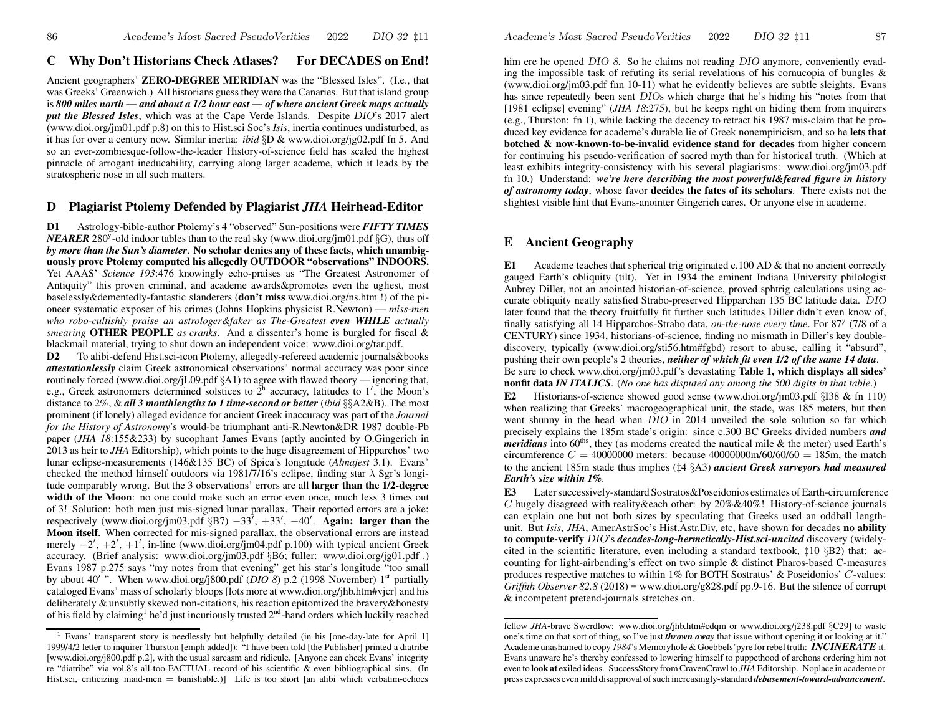### **CWh y Don't Historians Check Atlases? For DECADES on End!**

Ancient geographers' **ZERO-DEGREE MERIDIAN** was the "Blessed Isles". (I.e., that was Greeks' Greenwich.) All historians guess they were the Canaries. But that island group is *800 miles north — and about <sup>a</sup> 1/2 hour east — of where ancient Greek maps actually put the Blessed Isles*, which was at the Cape Verde Islands. Despite DIO's 2017 alert (www.dioi.org/jm01.pdf p.8) on this to Hist.sci Soc's *Isis*, inertia continues undisturbed, as it has for over a century now. Similar inertia: *ibid* §D & www.dioi.org/jg02.pdf fn 5. And so an ever-zombiesque-follow-the-leader History-of-science field has scaled the highest pinnacle of arrogan<sup>t</sup> ineducability, carrying along larger academe, which it leads by tbe stratospheric nose in all such matters.

# **D Plagiarist Ptolemy Defended by Plagiarist** *JHA* **Heirhead-Editor**

**D1** Astrology-bible-author Ptolemy's 4 "observed" Sun-positions were *FIFTY TIMES NEARER* 280<sup>y</sup>-old indoor tables than to the real sky (www.dioi.org/jm01.pdf  $\S G$ ), thus off *by more than the Sun's diameter*. **No scholar denies any of these facts, which unambiguously prove Ptolemy computed his allegedly OUTDOOR "observations" INDOORS.** Yet AAAS' *Science 193*:476 knowingly echo-praises as "The Greatest Astronomer of Antiquity" this proven criminal, and academe awards&promotes even the ugliest, most baselessly&dementedly-fantastic slanderers (**don't miss** www.dioi.org/ns.htm !) of the pioneer systematic exposer of his crimes (Johns Hopkins physicist R.Newton) — *miss-men who robo-cultishly praise an astrologer&faker as The-Greatest even WHILE actually smearing* **OTHER PEOPLE** *as cranks*. And <sup>a</sup> dissenter's home is burgled for fiscal & blackmail material, trying to shut down an independent voice: www.dioi.org/tar.pdf.

**D2**To alibi-defend Hist.sci-icon Ptolemy, allegedly-refereed academic journals&books *attestationlessly* claim Greek astronomical observations' normal accuracy was poor since routinely forced (www.dioi.org/jL09.pdf §A1) to agree with flawed theory — ignoring that, e.g., Greek astronomers determined solstices to  $2<sup>h</sup>$  accuracy, latitudes to 1', the Moon's distance to 2%, & *all 3 monthlengths to 1 time-second or better* (*ibid* §§A2&B). The most prominent (if lonely) alleged evidence for ancient Greek inaccuracy was par<sup>t</sup> of the *Journal for the History of Astronomy*'s would-be triumphant anti-R.Newton&DR 1987 double-Pb paper (*JHA 18*:155&233) by sucophant James Evans (aptly anointed by O.Gingerich in 2013 as heir to *JHA* Editorship), which points to the huge disagreement of Hipparchos' two lunar eclipse-measurements (146&135 BC) of Spica's longitude (*Almajest* 3.1). Evans' checked the method himself outdoors via 1981/7/16's eclipse, finding star  $\lambda$  Sgr's longitude comparably wrong. But the 3 observations' errors are all **larger than the 1/2-degree width of the Moon**: no one could make such an error even once, much less 3 times out of 3! Solution: both men just mis-signed lunar parallax. Their reported errors are <sup>a</sup> joke: respectively (www.dioi.org/jm03.pdf  $\S B7$ )  $-33'$ ,  $+33'$ ,  $-40'$ . **Again: larger than the Moon itself**. When corrected for mis-signed parallax, the observational errors are instead merely  $-2'$ ,  $+2'$ ,  $+1'$ , in-line (www.dioi.org/jm04.pdf p.100) with typical ancient Greek accuracy. (Brief analysis: www.dioi.org/jm03.pdf §B6; fuller: www.dioi.org/jg01.pdf .) Evans 1987 p.275 says "my notes from that evening" ge<sup>t</sup> his star's longitude "too small by about 40'". When www.dioi.org/j800.pdf (*DIO 8*) p.2 (1998 November)  $1<sup>st</sup>$  partially cataloged Evans' mass ofscholarly bloops [lots more at www.dioi.org/jhb.htm#vjcr] and his deliberately & unsubtly skewed non-citations, his reaction epitomized the bravery&honesty of his field by claiming<sup>1</sup> he'd just incuriously trusted 2<sup>nd</sup>-hand orders which luckily reached

him ere he opened DIO 8. So he claims not reading DIO anymore, conveniently evading the impossible task of refuting its serial revelations of his cornucopia of bungles & (www.dioi.org/jm03.pdf fnn 10-11) what he evidently believes are subtle sleights. Evans has since repeatedly been sent DIO<sup>s</sup> which charge that he's hiding his "notes from that [1981 eclipse] evening" (*JHA 18*:275), but he keeps right on hiding them from inquirers (e.g., Thurston: fn 1), while lacking the decency to retract his 1987 mis-claim that he produced key evidence for academe's durable lie of Greek nonempiricism, and so he **lets that botched& now-known-to-be-invalid evidence stand for decades** from higher concern for continuing his pseudo-verification of sacred myth than for historical truth. (Which at least exhibits integrity-consistency with his several plagiarisms: www.dioi.org/jm03.pdf fn 10.) Understand: *we're here describing the most po werful&feared figure in history of astronomy today*, whose favor **decides the fates of its scholars**. There exists not the slightest visible hint that Evans-anointer Gingerich cares. Or anyone else in academe.

## **E Ancient Geograph y**

**E1**1 Academe teaches that spherical trig originated c.100 AD & that no ancient correctly gauged Earth's obliquity (tilt). Yet in 1934 the eminent Indiana University philologist Aubrey Diller, not an anointed historian-of-science, proved sphtrig calculations using accurate obliquity neatly satisfied Strabo-preserved Hipparchan 135 BC latitude data. DIO later found that the theory fruitfully fit further such latitudes Diller didn't even kno w of, finally satisfying all 14 Hipparchos-Strabo data, *on-the-nose every time*. For 87<sup>y</sup> (7/8 of <sup>a</sup> CENTURY) since 1934, historians-of-science, finding no mismath in Diller's key doublediscovery, typically (www.dioi.org/sti56.htm#fgbd) resort to abuse, calling it "absurd", pushing their own people's 2 theories, *neither of whic h fit even 1/2 of the same 14 data*. Be sure to check www.dioi.org/jm03.pdf's devastating **Table 1, which displays all sides' nonfit data** *IN ITALICS*. (*No one has disputed any among the 500 digits in that table*.)

**E2**2 Historians-of-science showed good sense (www.dioi.org/jm03.pdf §I38 & fn 110) when realizing that Greeks' macrogeographical unit, the stade, was 185 meters, but then went shunny in the head when DIO in 2014 unveiled the sole solution so far which precisely explains the 185m stade's origin: since c.300 BC Greeks divided numbers *and meridians* into  $60<sup>ths</sup>$ , they (as moderns created the nautical mile & the meter) used Earth's circumference  $C = 40000000$  meters: because  $40000000$ m/60/60/60 = 185m, the match to the ancient 185m stade thus implies (‡4 §A3) *ancient Greek surveyors had measured Earth's size within 1%*.

**E3** Latersuccessively-standard Sostratos&Poseidonios estimates ofEarth-circumference C hugely disagreed with reality & each other: by  $20\% \& 40\%$ ! History-of-science journals can explain one but not both sizes by speculating that Greeks used an oddball lengthunit. But *Isis*, *JHA*, AmerAstrSoc's Hist.Astr.Div, etc, have shown for decades **no ability to compute-verify** DIO's *decades-long-hermetically-Hist.sci-uncited* discovery (widelycited in the scientific literature, even including <sup>a</sup> standard textbook, ‡10 §B2) that: accounting for light-airbending's effect on two simple & distinct Pharos-based C-measures produces respective matches to within 1% for BOTH Sostratus' & Poseidonios' C-values: *Griffith Observer 82.8* (2018) = www.dioi.org/g828.pdf pp.9-16. But the silence of corrup<sup>t</sup> & incompetent pretend-journals stretches on.

<sup>&</sup>lt;sup>1</sup> Evans' transparent story is needlessly but helpfully detailed (in his [one-day-late for April 1] 1999/4/2 letter to inquirer Thurston [emph added]): "I have been told [the Publisher] printed <sup>a</sup> diatribe [www.dioi.org/j800.pdf p.2], with the usual sarcasm and ridicule. [Anyone can check Evans' integrity re "diatribe" via vol.8's all-too-FACTUAL record of his scientific & even bibliographical sins. (In Hist.sci, criticizing maid-men = banishable.)] Life is too short [an alibi which verbatim-echoes

fellow *JHA*-brave Swerdlow: www.dioi.org/jhb.htm#cdqm or www.dioi.org/j238.pdf §C29] to wasteone's time on that sort of thing, so I've just *thrown away* that issue without opening it or looking at it." Academe unashamed to copy *1984*'s Memoryhole &Goebbels'pyre forrebel truth: *INCINERATE* it. Evans unaware he's thereby confessed to lowering himself to puppethood of archons ordering him not even to **look at** exiled ideas. SuccessStory fromCravenCrawl to *JHA*Editorship. Noplace in academe or press expresses evenmild disapproval ofsuch increasingly-standard *debasement-to ward-advancement*.